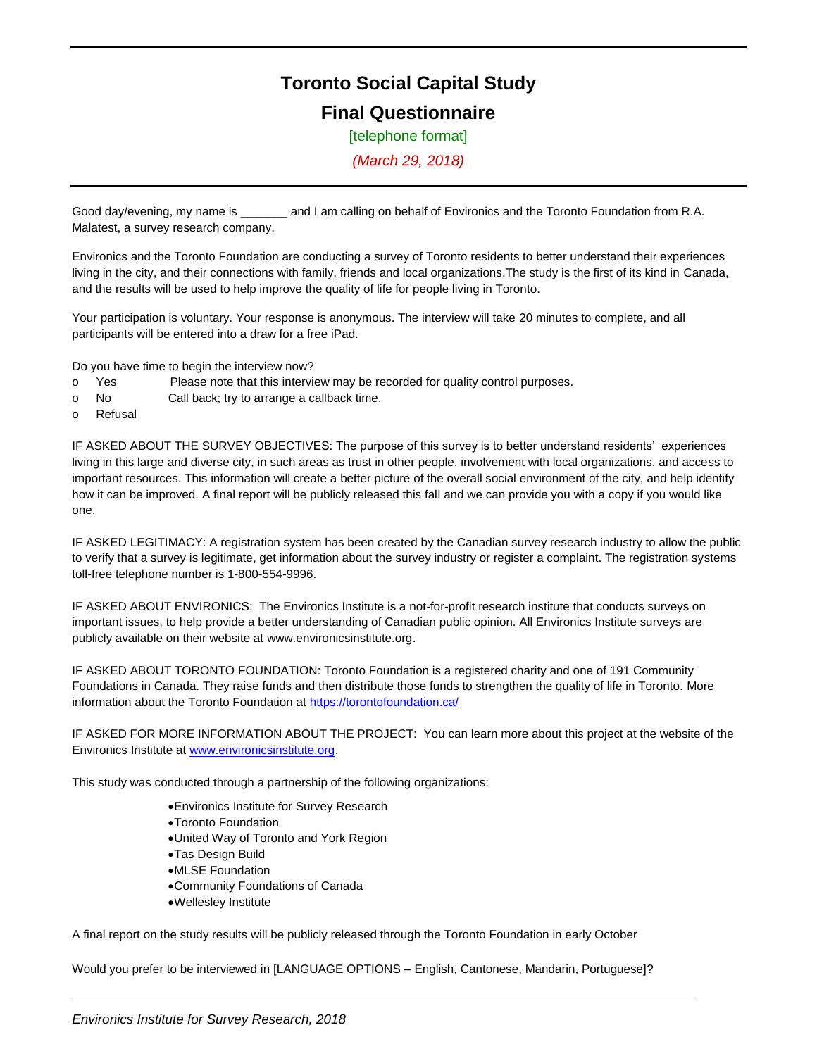# **Toronto Social Capital Study Final Questionnaire**

[telephone format]

*(March 29, 2018)*

Good day/evening, my name is \_\_\_\_\_\_\_\_ and I am calling on behalf of Environics and the Toronto Foundation from R.A. Malatest, a survey research company.

Environics and the Toronto Foundation are conducting a survey of Toronto residents to better understand their experiences living in the city, and their connections with family, friends and local organizations.The study is the first of its kind in Canada, and the results will be used to help improve the quality of life for people living in Toronto.

Your participation is voluntary. Your response is anonymous. The interview will take 20 minutes to complete, and all participants will be entered into a draw for a free iPad.

Do you have time to begin the interview now?

- o Yes Please note that this interview may be recorded for quality control purposes.
- o No Call back; try to arrange a callback time.
- o Refusal

IF ASKED ABOUT THE SURVEY OBJECTIVES: The purpose of this survey is to better understand residents' experiences living in this large and diverse city, in such areas as trust in other people, involvement with local organizations, and access to important resources. This information will create a better picture of the overall social environment of the city, and help identify how it can be improved. A final report will be publicly released this fall and we can provide you with a copy if you would like one.

IF ASKED LEGITIMACY: A registration system has been created by the Canadian survey research industry to allow the public to verify that a survey is legitimate, get information about the survey industry or register a complaint. The registration systems toll-free telephone number is 1-800-554-9996.

IF ASKED ABOUT ENVIRONICS: The Environics Institute is a not-for-profit research institute that conducts surveys on important issues, to help provide a better understanding of Canadian public opinion. All Environics Institute surveys are publicly available on their website at [www.environicsinstitute.org.](http://www.environicsinstitute.org/)

IF ASKED ABOUT TORONTO FOUNDATION: Toronto Foundation is a registered charity and one of 191 Community Foundations in Canada. They raise funds and then distribute those funds to strengthen the quality of life in Toronto. More information about the Toronto Foundation at<https://torontofoundation.ca/>

IF ASKED FOR MORE INFORMATION ABOUT THE PROJECT: You can learn more about this project at the website of the Environics Institute at [www.environicsinstitute.org.](http://www.environicsinstitute.org/)

This study was conducted through a partnership of the following organizations:

- Environics Institute for Survey Research
- Toronto Foundation
- United Way of Toronto and York Region
- Tas Design Build
- MLSE Foundation
- Community Foundations of Canada
- Wellesley Institute

A final report on the study results will be publicly released through the Toronto Foundation in early October

Would you prefer to be interviewed in [LANGUAGE OPTIONS – English, Cantonese, Mandarin, Portuguese]?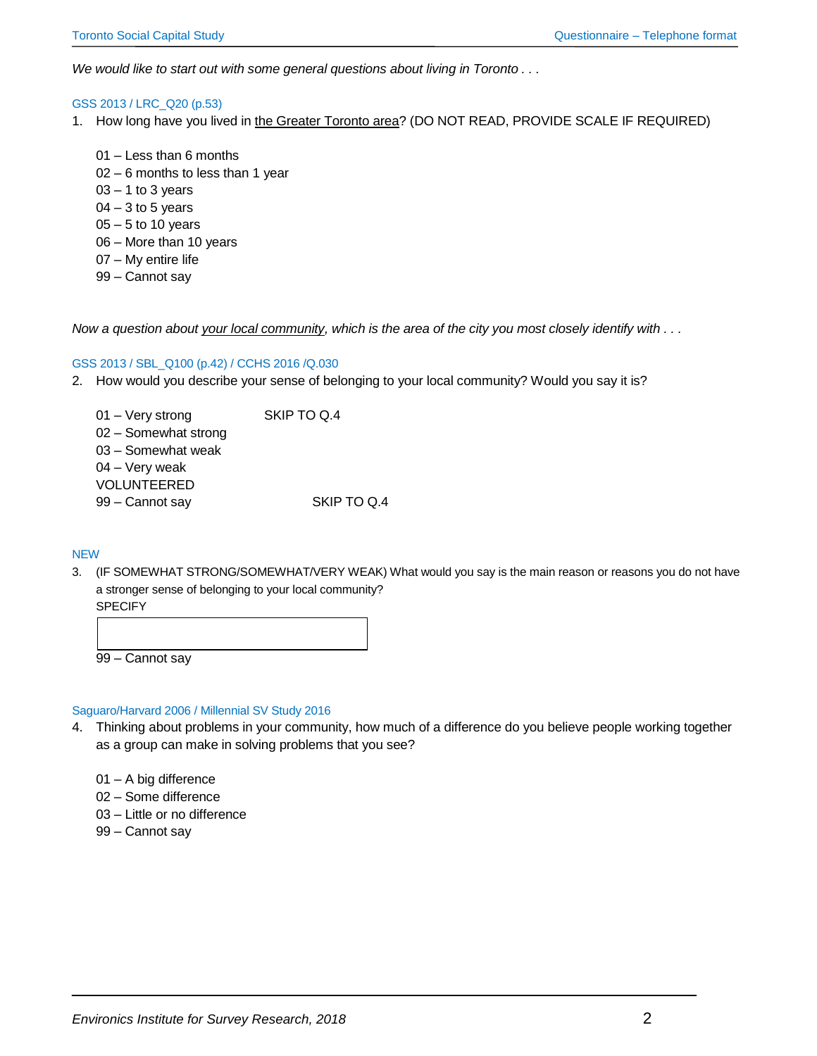*We would like to start out with some general questions about living in Toronto . . .* 

## GSS 2013 / LRC\_Q20 (p.53)

- 1. How long have you lived in the Greater Toronto area? (DO NOT READ, PROVIDE SCALE IF REQUIRED)
	- 01 Less than 6 months 02 – 6 months to less than 1 year  $03 - 1$  to 3 years  $04 - 3$  to 5 years 05 – 5 to 10 years 06 – More than 10 years 07 – My entire life
	-
	- 99 Cannot say

*Now a question about your local community, which is the area of the city you most closely identify with . . .* 

## GSS 2013 / SBL\_Q100 (p.42) / CCHS 2016 /Q.030

- 2. How would you describe your sense of belonging to your local community? Would you say it is?
	- 01 Very strong SKIP TO Q.4 02 – Somewhat strong 03 – Somewhat weak 04 – Very weak VOLUNTEERED 99 – Cannot say SKIP TO Q.4

#### **NEW**

3. (IF SOMEWHAT STRONG/SOMEWHAT/VERY WEAK) What would you say is the main reason or reasons you do not have a stronger sense of belonging to your local community?

**SPECIFY** 99 – Cannot say

#### Saguaro/Harvard 2006 / Millennial SV Study 2016

- 4. Thinking about problems in your community, how much of a difference do you believe people working together as a group can make in solving problems that you see?
	- 01 A big difference
	- 02 Some difference
	- 03 Little or no difference
	- 99 Cannot say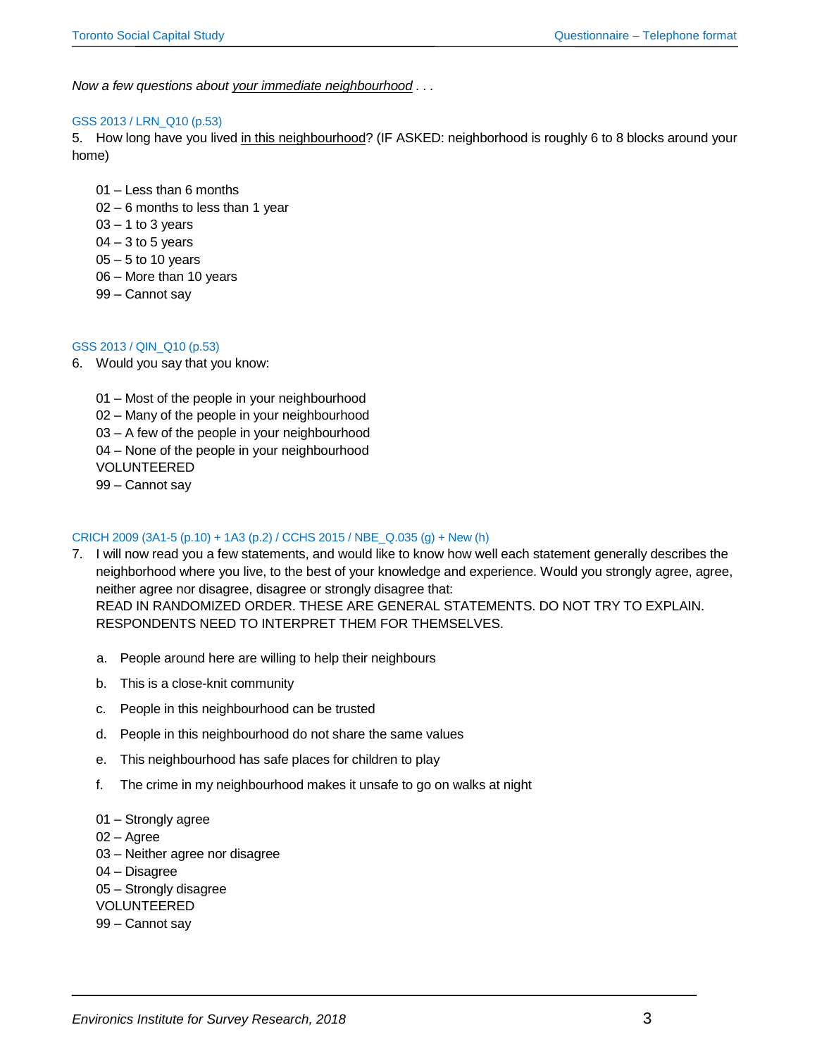*Now a few questions about your immediate neighbourhood . . .* 

## GSS 2013 / LRN\_Q10 (p.53)

5. How long have you lived in this neighbourhood? (IF ASKED: neighborhood is roughly 6 to 8 blocks around your home)

- 01 Less than 6 months
- 02 6 months to less than 1 year
- $03 1$  to 3 years
- $04 3$  to 5 years
- 05 5 to 10 years
- 06 More than 10 years
- 99 Cannot say

## GSS 2013 / QIN\_Q10 (p.53)

6. Would you say that you know:

01 – Most of the people in your neighbourhood

02 – Many of the people in your neighbourhood

03 – A few of the people in your neighbourhood

04 – None of the people in your neighbourhood

VOLUNTEERED

99 – Cannot say

# CRICH 2009 (3A1-5 (p.10) + 1A3 (p.2) / CCHS 2015 / NBE\_Q.035 (g) + New (h)

- 7. I will now read you a few statements, and would like to know how well each statement generally describes the neighborhood where you live, to the best of your knowledge and experience. Would you strongly agree, agree, neither agree nor disagree, disagree or strongly disagree that: READ IN RANDOMIZED ORDER. THESE ARE GENERAL STATEMENTS. DO NOT TRY TO EXPLAIN. RESPONDENTS NEED TO INTERPRET THEM FOR THEMSELVES.
	- a. People around here are willing to help their neighbours
	- b. This is a close-knit community
	- c. People in this neighbourhood can be trusted
	- d. People in this neighbourhood do not share the same values
	- e. This neighbourhood has safe places for children to play
	- f. The crime in my neighbourhood makes it unsafe to go on walks at night
	- 01 Strongly agree
	- 02 Agree
	- 03 Neither agree nor disagree
	- 04 Disagree

05 – Strongly disagree

VOLUNTEERED

99 – Cannot say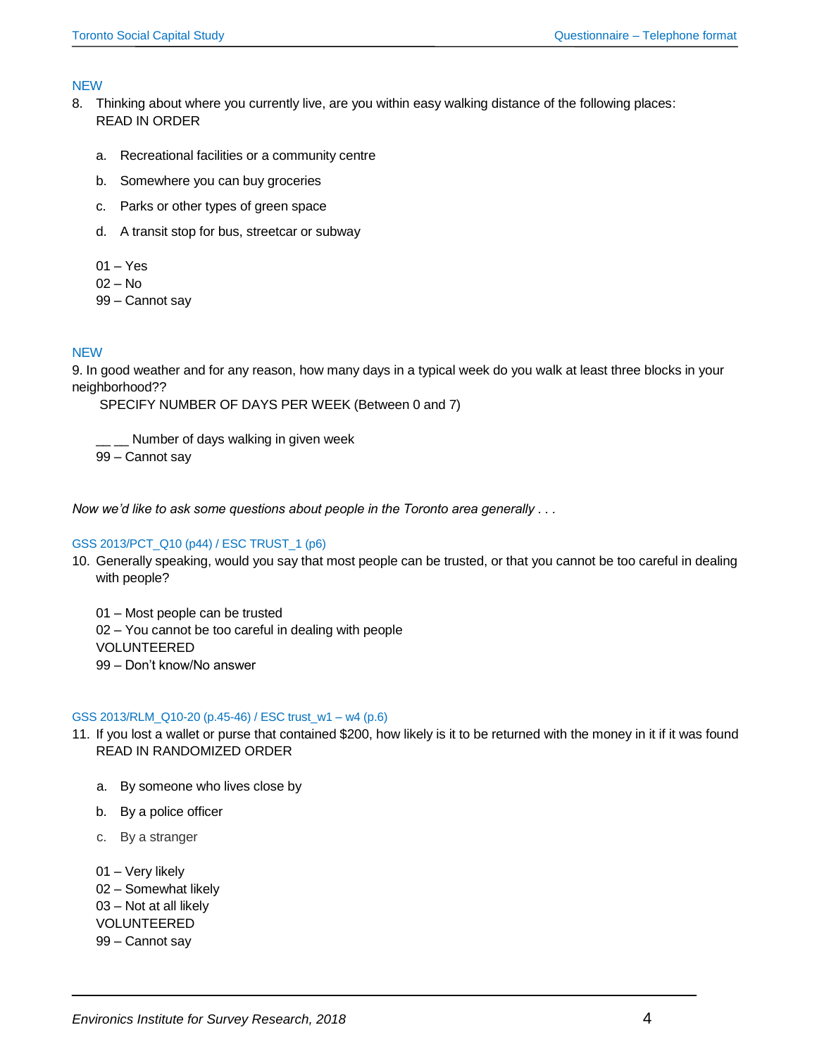## NEW

- 8. Thinking about where you currently live, are you within easy walking distance of the following places: READ IN ORDER
	- a. Recreational facilities or a community centre
	- b. Somewhere you can buy groceries
	- c. Parks or other types of green space
	- d. A transit stop for bus, streetcar or subway
	- 01 Yes
	- 02 No
	- 99 Cannot say

# **NEW**

9. In good weather and for any reason, how many days in a typical week do you walk at least three blocks in your neighborhood??

SPECIFY NUMBER OF DAYS PER WEEK (Between 0 and 7)

\_ \_\_ Number of days walking in given week

99 – Cannot say

*Now we'd like to ask some questions about people in the Toronto area generally . . .* 

## GSS 2013/PCT\_Q10 (p44) / ESC TRUST\_1 (p6)

10. Generally speaking, would you say that most people can be trusted, or that you cannot be too careful in dealing with people?

01 – Most people can be trusted 02 – You cannot be too careful in dealing with people VOLUNTEERED 99 – Don't know/No answer

## GSS 2013/RLM\_Q10-20 (p.45-46) / ESC trust\_w1 – w4 (p.6)

- 11. If you lost a wallet or purse that contained \$200, how likely is it to be returned with the money in it if it was found READ IN RANDOMIZED ORDER
	- a. By someone who lives close by
	- b. By a police officer
	- c. By a stranger

01 – Very likely 02 – Somewhat likely 03 – Not at all likely VOLUNTEERED 99 – Cannot say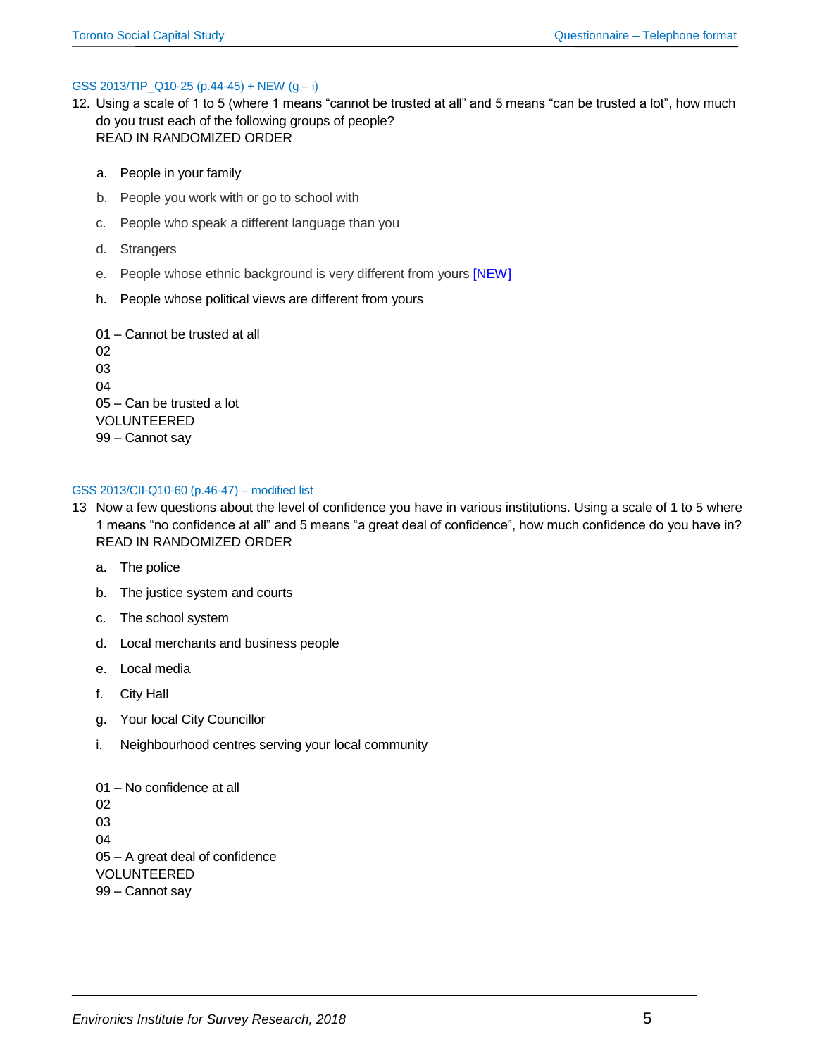## GSS 2013/TIP\_Q10-25 (p.44-45) + NEW  $(g - i)$

- 12. Using a scale of 1 to 5 (where 1 means "cannot be trusted at all" and 5 means "can be trusted a lot", how much do you trust each of the following groups of people? READ IN RANDOMIZED ORDER
	- a. People in your family
	- b. People you work with or go to school with
	- c. People who speak a different language than you
	- d. Strangers
	- e. People whose ethnic background is very different from yours [NEW]
	- h. People whose political views are different from yours

01 – Cannot be trusted at all 02 03 04 05 – Can be trusted a lot VOLUNTEERED 99 – Cannot say

## GSS 2013/CII-Q10-60 (p.46-47) – modified list

- 13 Now a few questions about the level of confidence you have in various institutions. Using a scale of 1 to 5 where 1 means "no confidence at all" and 5 means "a great deal of confidence", how much confidence do you have in? READ IN RANDOMIZED ORDER
	- a. The police
	- b. The justice system and courts
	- c. The school system
	- d. Local merchants and business people
	- e. Local media
	- f. City Hall
	- g. Your local City Councillor
	- i. Neighbourhood centres serving your local community

01 – No confidence at all 02 03 04 05 – A great deal of confidence VOLUNTEERED 99 – Cannot say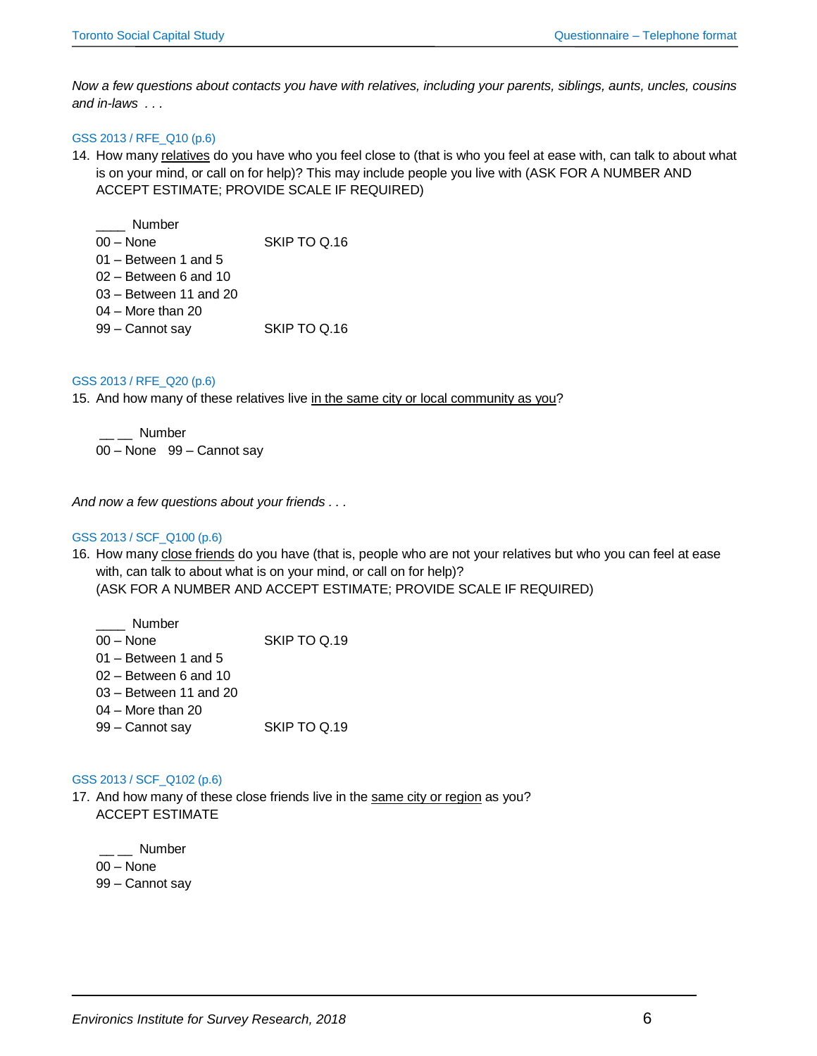*Now a few questions about contacts you have with relatives, including your parents, siblings, aunts, uncles, cousins and in-laws . . .* 

# GSS 2013 / RFE\_Q10 (p.6)

- 14. How many relatives do you have who you feel close to (that is who you feel at ease with, can talk to about what is on your mind, or call on for help)? This may include people you live with (ASK FOR A NUMBER AND ACCEPT ESTIMATE; PROVIDE SCALE IF REQUIRED)
	- \_\_\_\_ Number 00 – None SKIP TO Q.16 01 – Between 1 and 5 02 – Between 6 and 10 03 – Between 11 and 20 04 – More than 20 99 – Cannot say SKIP TO Q.16

## GSS 2013 / RFE\_Q20 (p.6)

15. And how many of these relatives live in the same city or local community as you?

\_\_ \_\_ Number 00 – None 99 – Cannot say

*And now a few questions about your friends . . .* 

## GSS 2013 / SCF\_Q100 (p.6)

16. How many close friends do you have (that is, people who are not your relatives but who you can feel at ease with, can talk to about what is on your mind, or call on for help)? (ASK FOR A NUMBER AND ACCEPT ESTIMATE; PROVIDE SCALE IF REQUIRED)

| Number                   |              |
|--------------------------|--------------|
| $00 - None$              | SKIP TO Q.19 |
| $01 -$ Between 1 and 5   |              |
| $02 -$ Between 6 and 10  |              |
| $03 -$ Between 11 and 20 |              |
| $04 -$ More than 20      |              |
| 99 - Cannot say          | SKIP TO Q.19 |
|                          |              |

## GSS 2013 / SCF\_Q102 (p.6)

17. And how many of these close friends live in the same city or region as you? ACCEPT ESTIMATE

 $\equiv$   $\equiv$  Number 00 – None 99 – Cannot say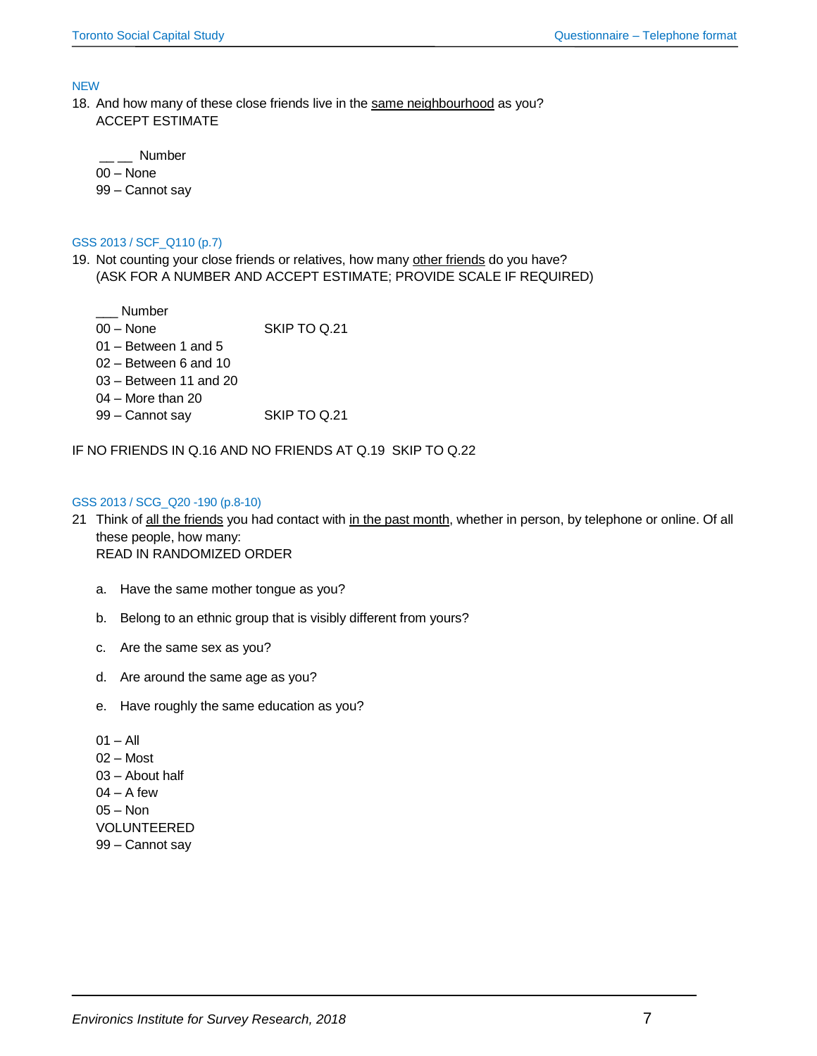**NEW** 

18. And how many of these close friends live in the same neighbourhood as you? ACCEPT ESTIMATE

\_\_ \_\_ Number 00 – None

99 – Cannot say

GSS 2013 / SCF\_Q110 (p.7)

19. Not counting your close friends or relatives, how many other friends do you have? (ASK FOR A NUMBER AND ACCEPT ESTIMATE; PROVIDE SCALE IF REQUIRED)

\_\_\_ Number

00 – None SKIP TO Q.21

- 01 Between 1 and 5
- 02 Between 6 and 10
- 03 Between 11 and 20
- 04 More than 20
- 99 Cannot say SKIP TO Q.21

IF NO FRIENDS IN Q.16 AND NO FRIENDS AT Q.19 SKIP TO Q.22

## GSS 2013 / SCG\_Q20 -190 (p.8-10)

- 21 Think of all the friends you had contact with in the past month, whether in person, by telephone or online. Of all these people, how many: READ IN RANDOMIZED ORDER
	- a. Have the same mother tongue as you?
	- b. Belong to an ethnic group that is visibly different from yours?
	- c. Are the same sex as you?
	- d. Are around the same age as you?
	- e. Have roughly the same education as you?
	- $01 All$ 02 – Most 03 – About half  $04 - A$  few 05 – Non VOLUNTEERED
	- 99 Cannot say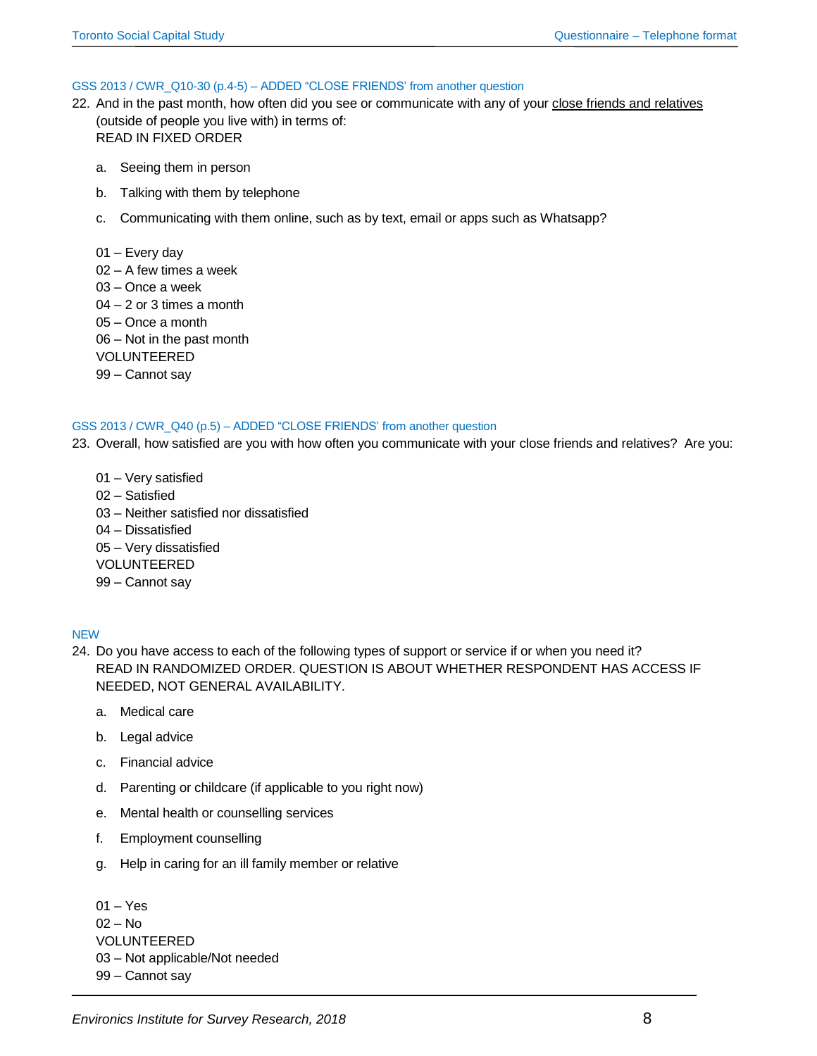#### GSS 2013 / CWR\_Q10-30 (p.4-5) – ADDED "CLOSE FRIENDS' from another question

- 22. And in the past month, how often did you see or communicate with any of your close friends and relatives (outside of people you live with) in terms of: READ IN FIXED ORDER
	- a. Seeing them in person
	- b. Talking with them by telephone
	- c. Communicating with them online, such as by text, email or apps such as Whatsapp?
	- 01 Every day
	- 02 A few times a week
	- 03 Once a week
	- 04 2 or 3 times a month
	- 05 Once a month
	- 06 Not in the past month
	- VOLUNTEERED
	- 99 Cannot say

#### GSS 2013 / CWR\_Q40 (p.5) – ADDED "CLOSE FRIENDS' from another question

- 23. Overall, how satisfied are you with how often you communicate with your close friends and relatives? Are you:
	- 01 Very satisfied 02 – Satisfied 03 – Neither satisfied nor dissatisfied 04 – Dissatisfied 05 – Very dissatisfied VOLUNTEERED 99 – Cannot say

## NEW

- 24. Do you have access to each of the following types of support or service if or when you need it? READ IN RANDOMIZED ORDER. QUESTION IS ABOUT WHETHER RESPONDENT HAS ACCESS IF NEEDED, NOT GENERAL AVAILABILITY.
	- a. Medical care
	- b. Legal advice
	- c. Financial advice
	- d. Parenting or childcare (if applicable to you right now)
	- e. Mental health or counselling services
	- f. Employment counselling
	- g. Help in caring for an ill family member or relative

01 – Yes  $02 - No$ VOLUNTEERED 03 – Not applicable/Not needed 99 – Cannot say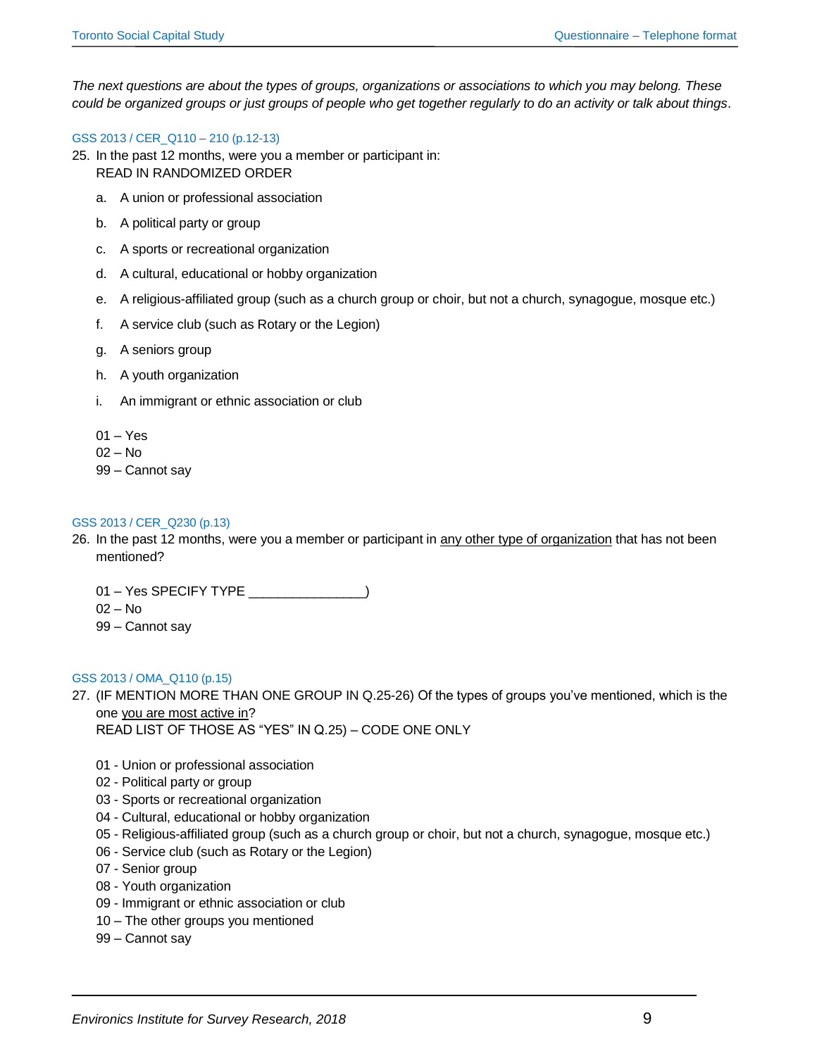*The next questions are about the types of groups, organizations or associations to which you may belong. These could be organized groups or just groups of people who get together regularly to do an activity or talk about things*.

## GSS 2013 / CER\_Q110 – 210 (p.12-13)

- 25. In the past 12 months, were you a member or participant in: READ IN RANDOMIZED ORDER
	- a. A union or professional association
	- b. A political party or group
	- c. A sports or recreational organization
	- d. A cultural, educational or hobby organization
	- e. A religious-affiliated group (such as a church group or choir, but not a church, synagogue, mosque etc.)
	- f. A service club (such as Rotary or the Legion)
	- g. A seniors group
	- h. A youth organization
	- i. An immigrant or ethnic association or club
	- 01 Yes
	- 02 No

99 – Cannot say

#### GSS 2013 / CER\_Q230 (p.13)

26. In the past 12 months, were you a member or participant in any other type of organization that has not been mentioned?

01 – Yes SPECIFY TYPE \_\_\_\_\_\_\_\_\_\_\_\_\_\_\_\_)

- 02 No
- 99 Cannot say

## GSS 2013 / OMA\_Q110 (p.15)

27. (IF MENTION MORE THAN ONE GROUP IN Q.25-26) Of the types of groups you've mentioned, which is the one you are most active in?

READ LIST OF THOSE AS "YES" IN Q.25) – CODE ONE ONLY

- 01 Union or professional association
- 02 Political party or group
- 03 Sports or recreational organization
- 04 Cultural, educational or hobby organization
- 05 Religious-affiliated group (such as a church group or choir, but not a church, synagogue, mosque etc.)
- 06 Service club (such as Rotary or the Legion)
- 07 Senior group
- 08 Youth organization
- 09 Immigrant or ethnic association or club
- 10 The other groups you mentioned
- 99 Cannot say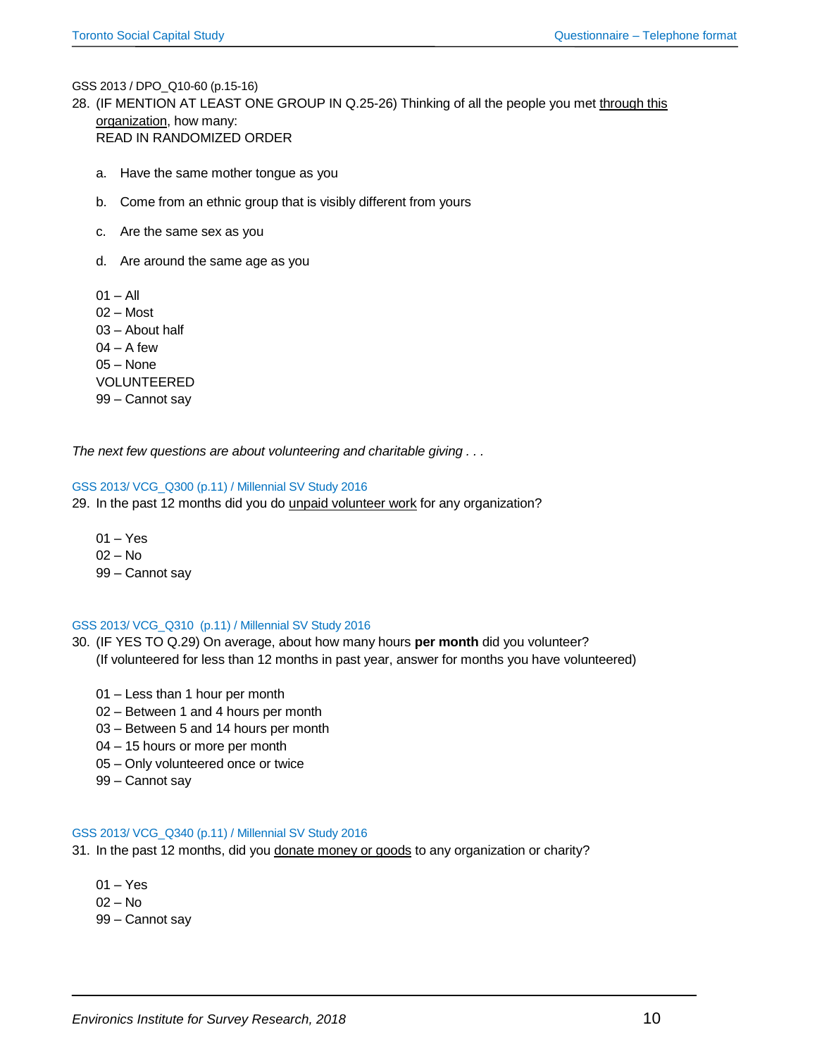GSS 2013 / DPO\_Q10-60 (p.15-16)

- 28. (IF MENTION AT LEAST ONE GROUP IN Q.25-26) Thinking of all the people you met through this organization, how many: READ IN RANDOMIZED ORDER
	- a. Have the same mother tongue as you
	- b. Come from an ethnic group that is visibly different from yours
	- c. Are the same sex as you
	- d. Are around the same age as you
	- $01 All$ 02 – Most 03 – About half  $04 - A$  few 05 – None VOLUNTEERED 99 – Cannot say

*The next few questions are about volunteering and charitable giving . . .*

#### GSS 2013/ VCG\_Q300 (p.11) / Millennial SV Study 2016

- 29. In the past 12 months did you do unpaid volunteer work for any organization?
	- $01 Yes$ 02 – No 99 – Cannot say

#### GSS 2013/ VCG\_Q310 (p.11) / Millennial SV Study 2016

- 30. (IF YES TO Q.29) On average, about how many hours **per month** did you volunteer? (If volunteered for less than 12 months in past year, answer for months you have volunteered)
	- 01 Less than 1 hour per month
	- 02 Between 1 and 4 hours per month
	- 03 Between 5 and 14 hours per month
	- 04 15 hours or more per month
	- 05 Only volunteered once or twice
	- 99 Cannot say

#### GSS 2013/ VCG\_Q340 (p.11) / Millennial SV Study 2016

- 31. In the past 12 months, did you donate money or goods to any organization or charity?
	- 01 Yes 02 – No 99 – Cannot say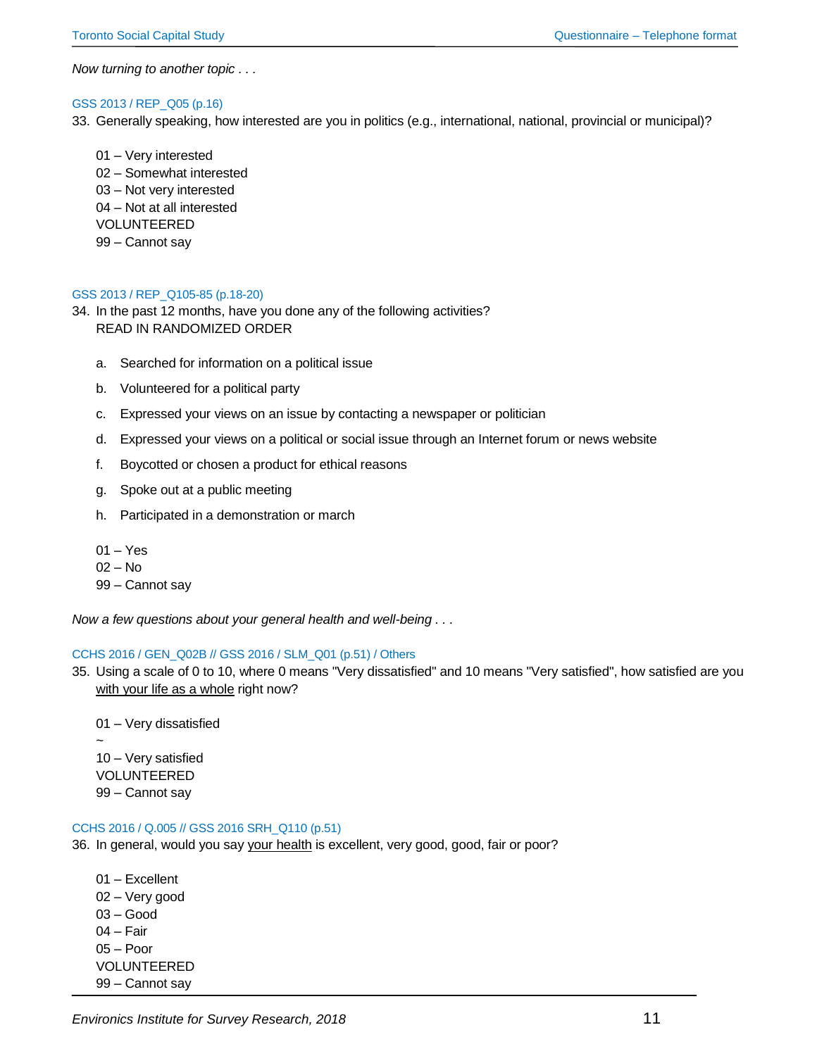*Now turning to another topic . . .* 

#### GSS 2013 / REP\_Q05 (p.16)

33. Generally speaking, how interested are you in politics (e.g., international, national, provincial or municipal)?

01 – Very interested 02 – Somewhat interested 03 – Not very interested 04 – Not at all interested VOLUNTEERED 99 – Cannot say

## GSS 2013 / REP\_Q105-85 (p.18-20)

- 34. In the past 12 months, have you done any of the following activities? READ IN RANDOMIZED ORDER
	- a. Searched for information on a political issue
	- b. Volunteered for a political party
	- c. Expressed your views on an issue by contacting a newspaper or politician
	- d. Expressed your views on a political or social issue through an Internet forum or news website
	- f. Boycotted or chosen a product for ethical reasons
	- g. Spoke out at a public meeting
	- h. Participated in a demonstration or march
	- 01 Yes
	- 02 No
	- 99 Cannot say

*Now a few questions about your general health and well-being . . .* 

#### CCHS 2016 / GEN\_Q02B // GSS 2016 / SLM\_Q01 (p.51) / Others

35. Using a scale of 0 to 10, where 0 means "Very dissatisfied" and 10 means "Very satisfied", how satisfied are you with your life as a whole right now?

01 – Very dissatisfied ~ 10 – Very satisfied VOLUNTEERED 99 – Cannot say

## CCHS 2016 / Q.005 // GSS 2016 SRH\_Q110 (p.51)

- 36. In general, would you say your health is excellent, very good, good, fair or poor?
	- 01 Excellent 02 – Very good 03 – Good 04 – Fair 05 – Poor VOLUNTEERED 99 – Cannot say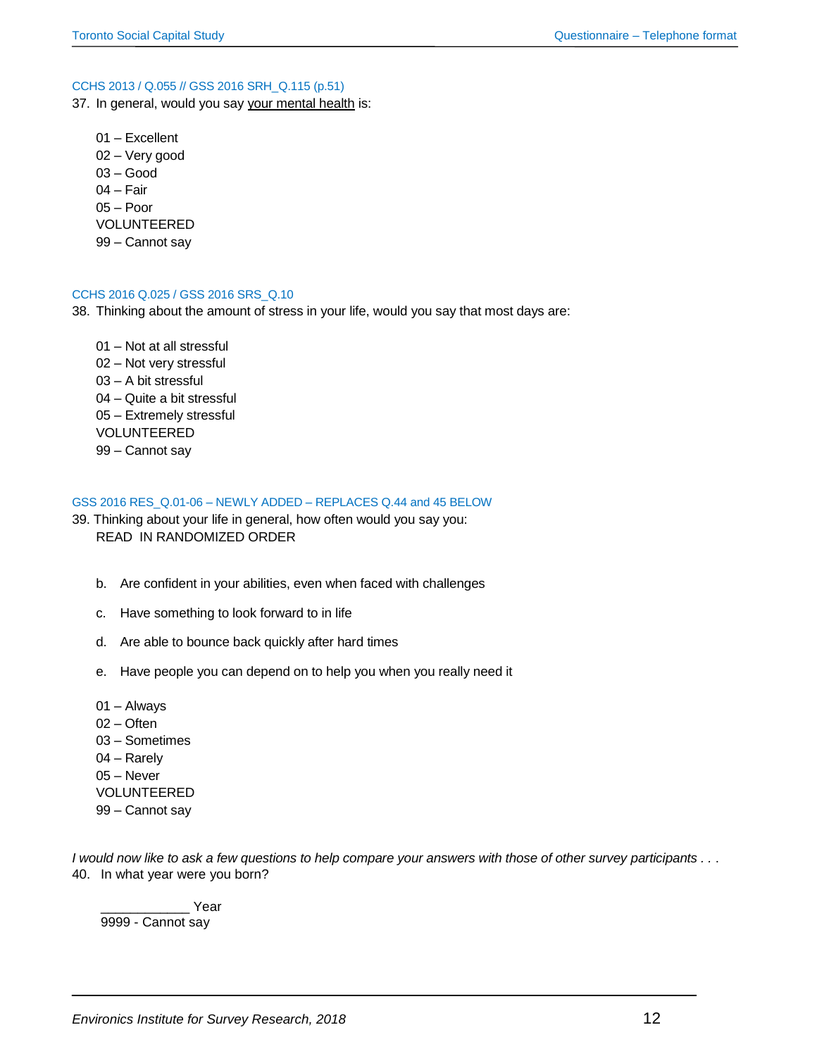#### CCHS 2013 / Q.055 // GSS 2016 SRH\_Q.115 (p.51)

- 37. In general, would you say your mental health is:
	- 01 Excellent 02 – Very good 03 – Good 04 – Fair 05 – Poor VOLUNTEERED 99 – Cannot say

#### CCHS 2016 Q.025 / GSS 2016 SRS\_Q.10

- 38. Thinking about the amount of stress in your life, would you say that most days are:
	- 01 Not at all stressful 02 – Not very stressful 03 – A bit stressful 04 – Quite a bit stressful 05 – Extremely stressful VOLUNTEERED 99 – Cannot say

#### GSS 2016 RES\_Q.01-06 – NEWLY ADDED – REPLACES Q.44 and 45 BELOW

- 39. Thinking about your life in general, how often would you say you: READ IN RANDOMIZED ORDER
	- b. Are confident in your abilities, even when faced with challenges
	- c. Have something to look forward to in life
	- d. Are able to bounce back quickly after hard times
	- e. Have people you can depend on to help you when you really need it
	- 01 Always 02 – Often 03 – Sometimes 04 – Rarely 05 – Never VOLUNTEERED
	- 99 Cannot say

*I would now like to ask a few questions to help compare your answers with those of other survey participants . .* . 40. In what year were you born?

Year 9999 - Cannot say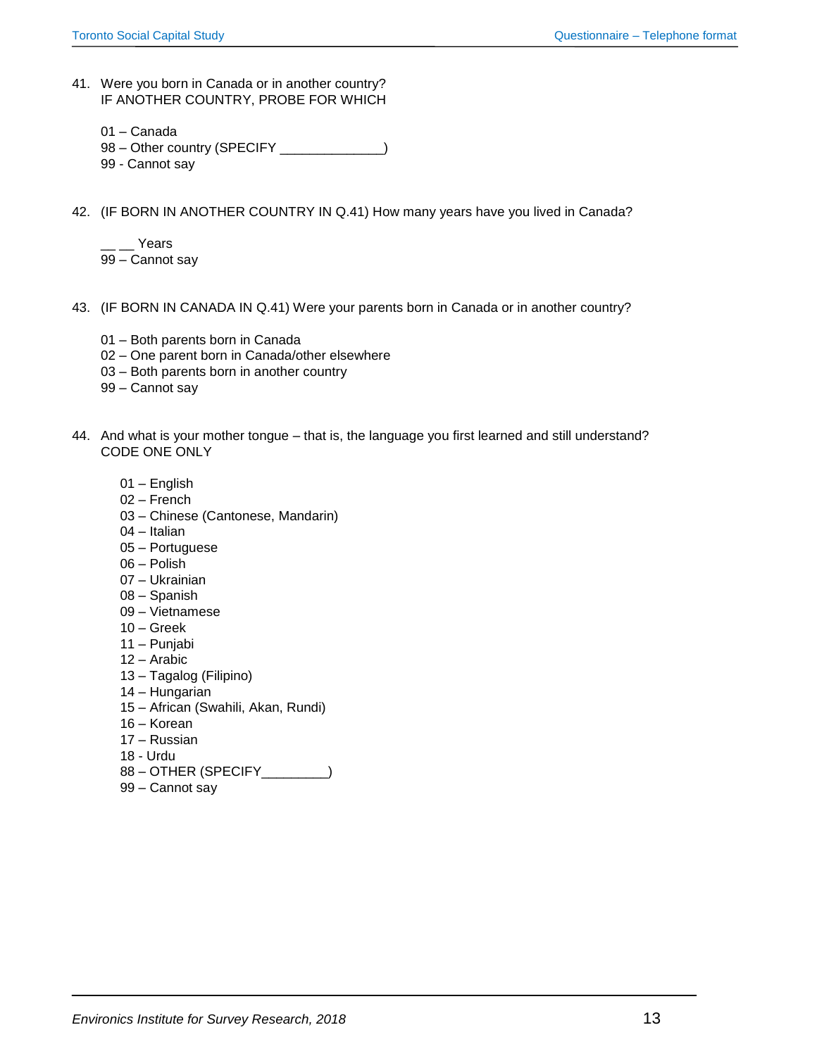- 41. Were you born in Canada or in another country? IF ANOTHER COUNTRY, PROBE FOR WHICH
	- 01 Canada
	- 98 Other country (SPECIFY \_\_\_\_\_\_\_\_\_\_\_\_)
	- 99 Cannot say
- 42. (IF BORN IN ANOTHER COUNTRY IN Q.41) How many years have you lived in Canada?
	- \_\_ \_\_ Years 99 – Cannot say
- 43. (IF BORN IN CANADA IN Q.41) Were your parents born in Canada or in another country?
	- 01 Both parents born in Canada
	- 02 One parent born in Canada/other elsewhere
	- 03 Both parents born in another country
	- 99 Cannot say
- 44. And what is your mother tongue that is, the language you first learned and still understand? CODE ONE ONLY
	- 01 English
	- 02 French
	- 03 Chinese (Cantonese, Mandarin)
	- 04 Italian
	- 05 Portuguese
	- 06 Polish
	- 07 Ukrainian
	- 08 Spanish
	- 09 Vietnamese
	- 10 Greek
	- 11 Punjabi
	- 12 Arabic
	- 13 Tagalog (Filipino)
	- 14 Hungarian
	- 15 African (Swahili, Akan, Rundi)
	- 16 Korean
	- 17 Russian
	- 18 Urdu
	- 88 OTHER (SPECIFY
	)
	- 99 Cannot say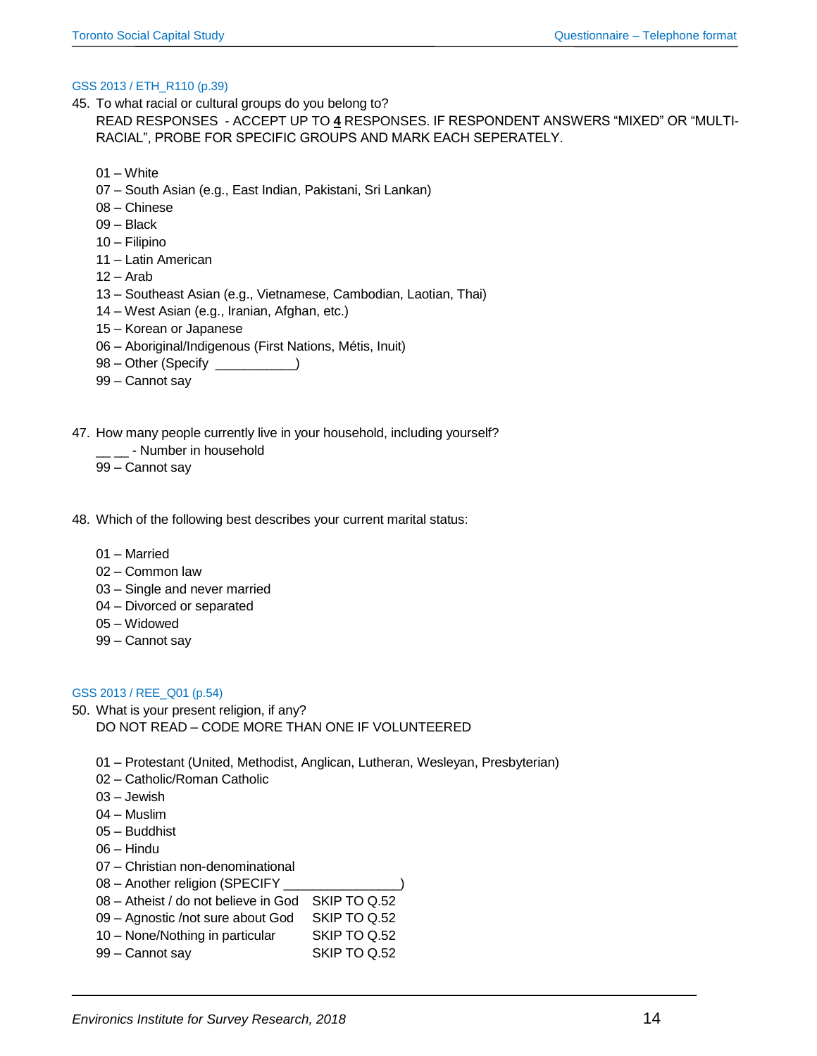#### GSS 2013 / ETH\_R110 (p.39)

- 45. To what racial or cultural groups do you belong to? READ RESPONSES - ACCEPT UP TO **4** RESPONSES. IF RESPONDENT ANSWERS "MIXED" OR "MULTI-RACIAL", PROBE FOR SPECIFIC GROUPS AND MARK EACH SEPERATELY.
	- 01 White
	- 07 South Asian (e.g., East Indian, Pakistani, Sri Lankan)
	- 08 Chinese
	- 09 Black
	- 10 Filipino
	- 11 Latin American
	- $12 -$ Arab
	- 13 Southeast Asian (e.g., Vietnamese, Cambodian, Laotian, Thai)
	- 14 West Asian (e.g., Iranian, Afghan, etc.)
	- 15 Korean or Japanese
	- 06 Aboriginal/Indigenous (First Nations, Métis, Inuit)
	- 98 Other (Specify \_\_\_\_\_\_\_\_\_\_\_)
	- 99 Cannot say
- 47. How many people currently live in your household, including yourself?
	- Number in household
	- 99 Cannot say
- 48. Which of the following best describes your current marital status:
	- 01 Married
	- 02 Common law
	- 03 Single and never married
	- 04 Divorced or separated
	- 05 Widowed
	- 99 Cannot say

#### GSS 2013 / REE\_Q01 (p.54)

- 50. What is your present religion, if any? DO NOT READ – CODE MORE THAN ONE IF VOLUNTEERED
	- 01 Protestant (United, Methodist, Anglican, Lutheran, Wesleyan, Presbyterian)
	- 02 Catholic/Roman Catholic
	- 03 Jewish
	- 04 Muslim
	- 05 Buddhist
	- 06 Hindu
	- 07 Christian non-denominational
	- 08 Another religion (SPECIFY
	- 08 Atheist / do not believe in God SKIP TO Q.52
	- 09 Agnostic /not sure about God SKIP TO Q.52
	- 10 None/Nothing in particular SKIP TO Q.52
	- 99 Cannot say SKIP TO Q.52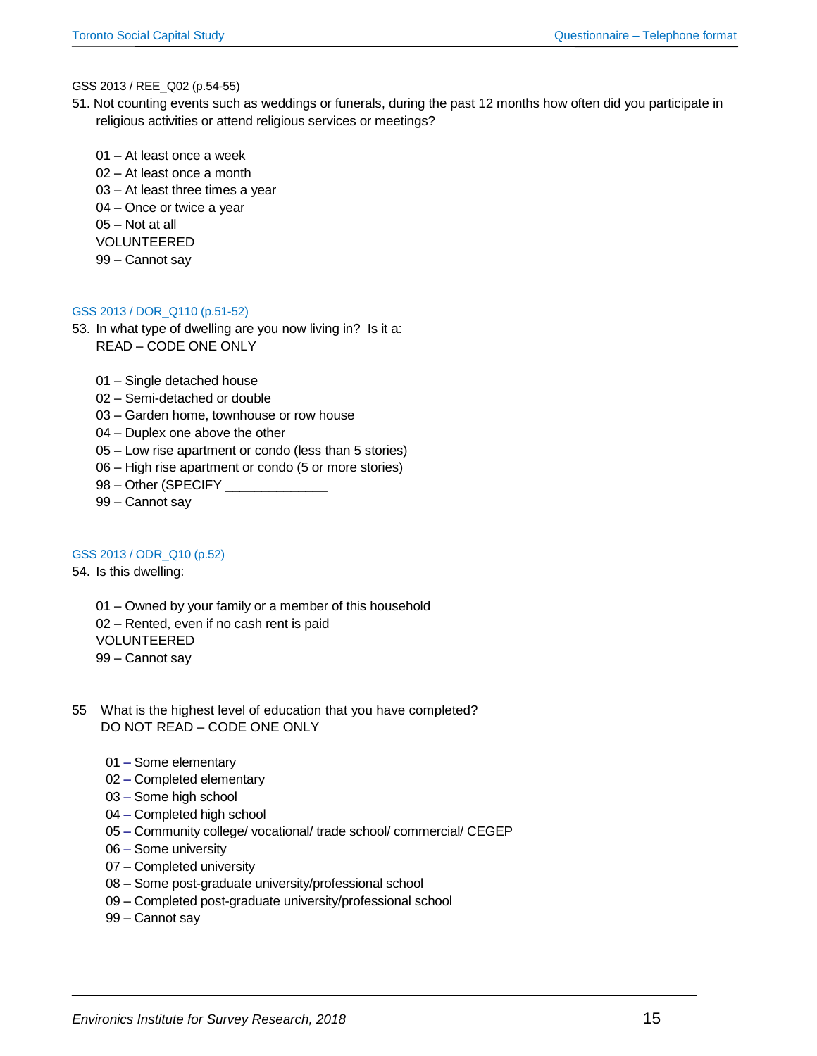## GSS 2013 / REE\_Q02 (p.54-55)

51. Not counting events such as weddings or funerals, during the past 12 months how often did you participate in religious activities or attend religious services or meetings?

01 – At least once a week 02 – At least once a month 03 – At least three times a year 04 – Once or twice a year 05 – Not at all VOLUNTEERED 99 – Cannot say

## GSS 2013 / DOR\_Q110 (p.51-52)

53. In what type of dwelling are you now living in? Is it a: READ – CODE ONE ONLY

- 01 Single detached house
- 02 Semi-detached or double
- 03 Garden home, townhouse or row house
- 04 Duplex one above the other
- 05 Low rise apartment or condo (less than 5 stories)
- 06 High rise apartment or condo (5 or more stories)
- 98 Other (SPECIFY \_
- 99 Cannot say

## GSS 2013 / ODR\_Q10 (p.52)

#### 54. Is this dwelling:

01 – Owned by your family or a member of this household 02 – Rented, even if no cash rent is paid VOLUNTEERED 99 – Cannot say

- 55 What is the highest level of education that you have completed? DO NOT READ – CODE ONE ONLY
	- 01 Some elementary
	- 02 Completed elementary
	- 03 Some high school
	- 04 Completed high school
	- 05 Community college/ vocational/ trade school/ commercial/ CEGEP
	- 06 Some university
	- 07 Completed university
	- 08 Some post-graduate university/professional school
	- 09 Completed post-graduate university/professional school
	- 99 Cannot say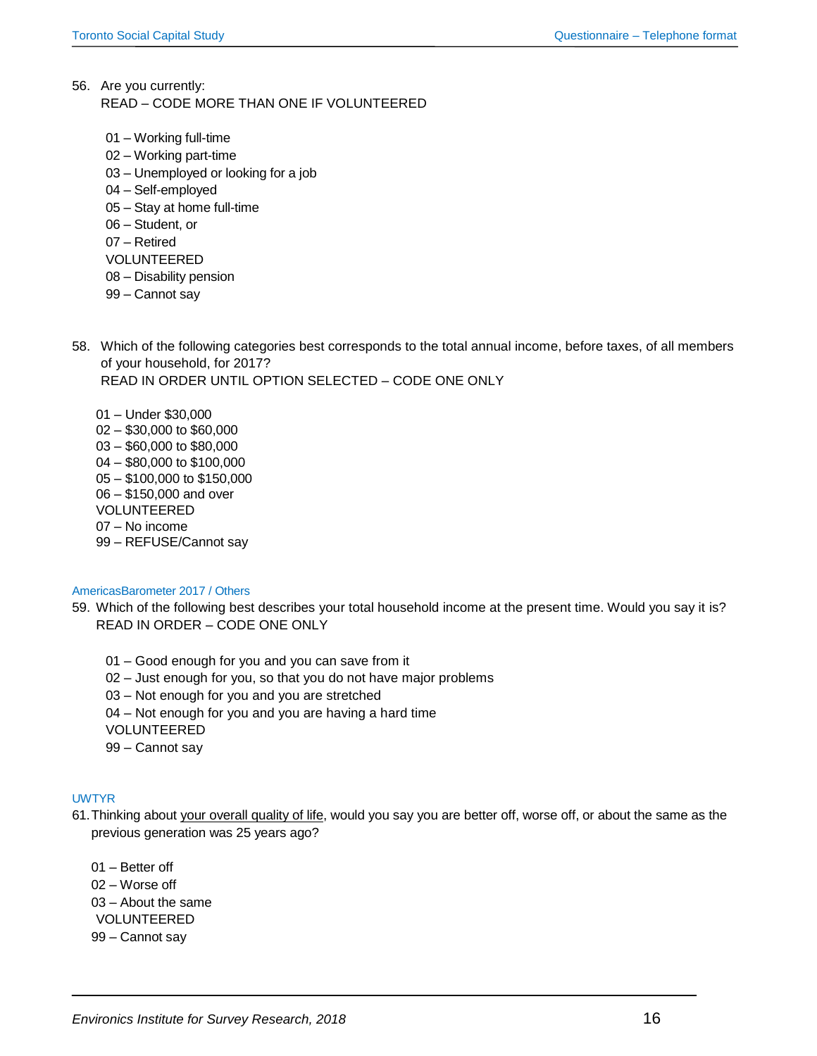- 56. Are you currently: READ – CODE MORE THAN ONE IF VOLUNTEERED
	- 01 Working full-time
	- 02 Working part-time
	- 03 Unemployed or looking for a job
	- 04 Self-employed
	- 05 Stay at home full-time
	- 06 Student, or
	- 07 Retired
	- VOLUNTEERED
	- 08 Disability pension
	- 99 Cannot say
- 58. Which of the following categories best corresponds to the total annual income, before taxes, of all members of your household, for 2017? READ IN ORDER UNTIL OPTION SELECTED – CODE ONE ONLY
	- 01 Under \$30,000 02 – \$30,000 to \$60,000 03 – \$60,000 to \$80,000 04 – \$80,000 to \$100,000 05 – \$100,000 to \$150,000 06 – \$150,000 and over VOLUNTEERED 07 – No income 99 – REFUSE/Cannot say

## AmericasBarometer 2017 / Others

- 59. Which of the following best describes your total household income at the present time. Would you say it is? READ IN ORDER – CODE ONE ONLY
	- 01 Good enough for you and you can save from it
	- 02 Just enough for you, so that you do not have major problems
	- 03 Not enough for you and you are stretched
	- 04 Not enough for you and you are having a hard time
	- VOLUNTEERED
	- 99 Cannot say

# UWTYR

- 61.Thinking about your overall quality of life, would you say you are better off, worse off, or about the same as the previous generation was 25 years ago?
	- 01 Better off 02 – Worse off 03 – About the same VOLUNTEERED 99 – Cannot say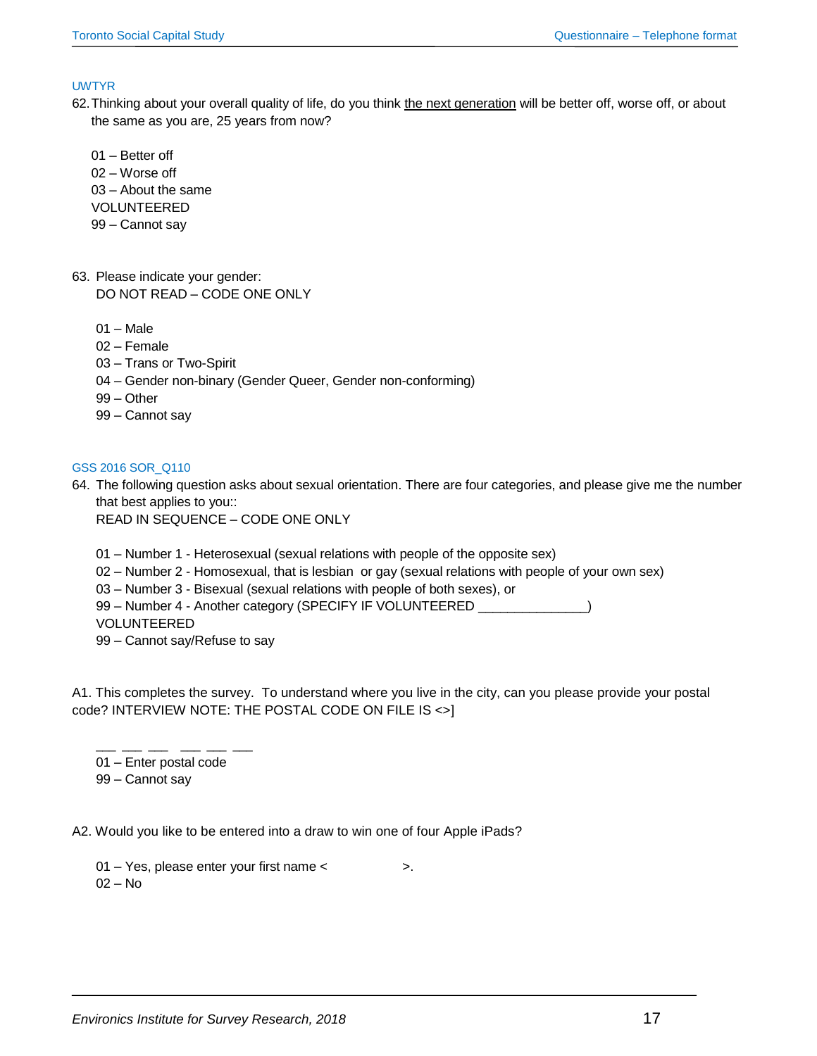## UWTYR

- 62.Thinking about your overall quality of life, do you think the next generation will be better off, worse off, or about the same as you are, 25 years from now?
	- 01 Better off 02 – Worse off 03 – About the same VOLUNTEERED 99 – Cannot say
- 63. Please indicate your gender: DO NOT READ – CODE ONE ONLY
	- $01 \text{Male}$
	- 02 Female
	- 03 Trans or Two-Spirit
	- 04 Gender non-binary (Gender Queer, Gender non-conforming)
	- 99 Other
	- 99 Cannot say

## GSS 2016 SOR\_Q110

64. The following question asks about sexual orientation. There are four categories, and please give me the number that best applies to you::

READ IN SEQUENCE – CODE ONE ONLY

- 01 Number 1 Heterosexual (sexual relations with people of the opposite sex)
- 02 Number 2 Homosexual, that is lesbian or gay (sexual relations with people of your own sex)
- 03 Number 3 Bisexual (sexual relations with people of both sexes), or

99 – Number 4 - Another category (SPECIFY IF VOLUNTEERED \_\_\_\_\_\_\_\_\_\_\_\_\_\_)

VOLUNTEERED

99 – Cannot say/Refuse to say

A1. This completes the survey. To understand where you live in the city, can you please provide your postal code? INTERVIEW NOTE: THE POSTAL CODE ON FILE IS <>]

\_\_\_\_ \_\_\_ \_\_\_ \_\_\_ \_\_\_ \_\_\_ \_\_\_ 01 – Enter postal code

99 – Cannot say

A2. Would you like to be entered into a draw to win one of four Apple iPads?

01 – Yes, please enter your first name < >.  $02 - No$